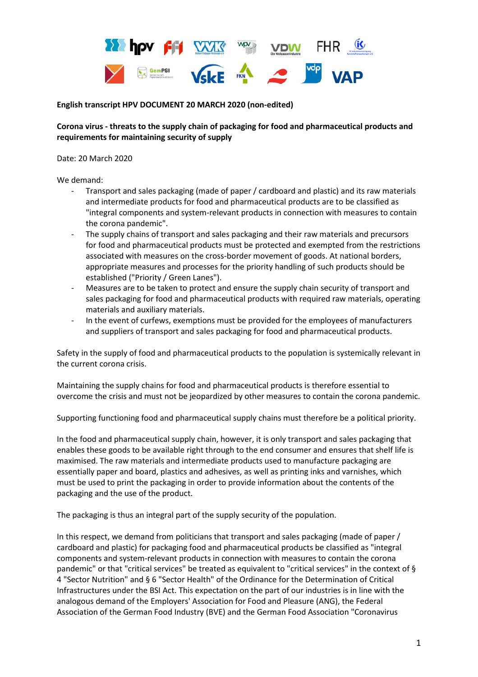

## **English transcript HPV DOCUMENT 20 MARCH 2020 (non-edited)**

**Corona virus - threats to the supply chain of packaging for food and pharmaceutical products and requirements for maintaining security of supply**

Date: 20 March 2020

We demand:

- Transport and sales packaging (made of paper / cardboard and plastic) and its raw materials and intermediate products for food and pharmaceutical products are to be classified as "integral components and system-relevant products in connection with measures to contain the corona pandemic".
- The supply chains of transport and sales packaging and their raw materials and precursors for food and pharmaceutical products must be protected and exempted from the restrictions associated with measures on the cross-border movement of goods. At national borders, appropriate measures and processes for the priority handling of such products should be established ("Priority / Green Lanes").
- Measures are to be taken to protect and ensure the supply chain security of transport and sales packaging for food and pharmaceutical products with required raw materials, operating materials and auxiliary materials.
- In the event of curfews, exemptions must be provided for the employees of manufacturers and suppliers of transport and sales packaging for food and pharmaceutical products.

Safety in the supply of food and pharmaceutical products to the population is systemically relevant in the current corona crisis.

Maintaining the supply chains for food and pharmaceutical products is therefore essential to overcome the crisis and must not be jeopardized by other measures to contain the corona pandemic.

Supporting functioning food and pharmaceutical supply chains must therefore be a political priority.

In the food and pharmaceutical supply chain, however, it is only transport and sales packaging that enables these goods to be available right through to the end consumer and ensures that shelf life is maximised. The raw materials and intermediate products used to manufacture packaging are essentially paper and board, plastics and adhesives, as well as printing inks and varnishes, which must be used to print the packaging in order to provide information about the contents of the packaging and the use of the product.

The packaging is thus an integral part of the supply security of the population.

In this respect, we demand from politicians that transport and sales packaging (made of paper / cardboard and plastic) for packaging food and pharmaceutical products be classified as "integral components and system-relevant products in connection with measures to contain the corona pandemic" or that "critical services" be treated as equivalent to "critical services" in the context of § 4 "Sector Nutrition" and § 6 "Sector Health" of the Ordinance for the Determination of Critical Infrastructures under the BSI Act. This expectation on the part of our industries is in line with the analogous demand of the Employers' Association for Food and Pleasure (ANG), the Federal Association of the German Food Industry (BVE) and the German Food Association "Coronavirus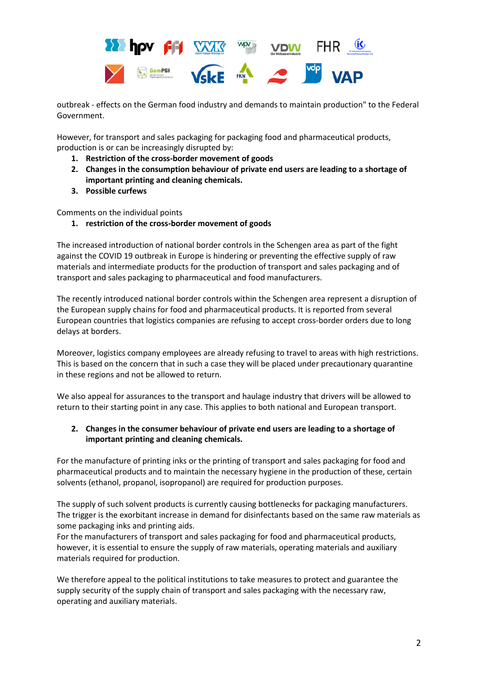

outbreak - effects on the German food industry and demands to maintain production" to the Federal Government.

However, for transport and sales packaging for packaging food and pharmaceutical products, production is or can be increasingly disrupted by:

- **1. Restriction of the cross-border movement of goods**
- **2. Changes in the consumption behaviour of private end users are leading to a shortage of important printing and cleaning chemicals.**
- **3. Possible curfews**

Comments on the individual points

**1. restriction of the cross-border movement of goods**

The increased introduction of national border controls in the Schengen area as part of the fight against the COVID 19 outbreak in Europe is hindering or preventing the effective supply of raw materials and intermediate products for the production of transport and sales packaging and of transport and sales packaging to pharmaceutical and food manufacturers.

The recently introduced national border controls within the Schengen area represent a disruption of the European supply chains for food and pharmaceutical products. It is reported from several European countries that logistics companies are refusing to accept cross-border orders due to long delays at borders.

Moreover, logistics company employees are already refusing to travel to areas with high restrictions. This is based on the concern that in such a case they will be placed under precautionary quarantine in these regions and not be allowed to return.

We also appeal for assurances to the transport and haulage industry that drivers will be allowed to return to their starting point in any case. This applies to both national and European transport.

# **2. Changes in the consumer behaviour of private end users are leading to a shortage of important printing and cleaning chemicals.**

For the manufacture of printing inks or the printing of transport and sales packaging for food and pharmaceutical products and to maintain the necessary hygiene in the production of these, certain solvents (ethanol, propanol, isopropanol) are required for production purposes.

The supply of such solvent products is currently causing bottlenecks for packaging manufacturers. The trigger is the exorbitant increase in demand for disinfectants based on the same raw materials as some packaging inks and printing aids.

For the manufacturers of transport and sales packaging for food and pharmaceutical products, however, it is essential to ensure the supply of raw materials, operating materials and auxiliary materials required for production.

We therefore appeal to the political institutions to take measures to protect and guarantee the supply security of the supply chain of transport and sales packaging with the necessary raw, operating and auxiliary materials.